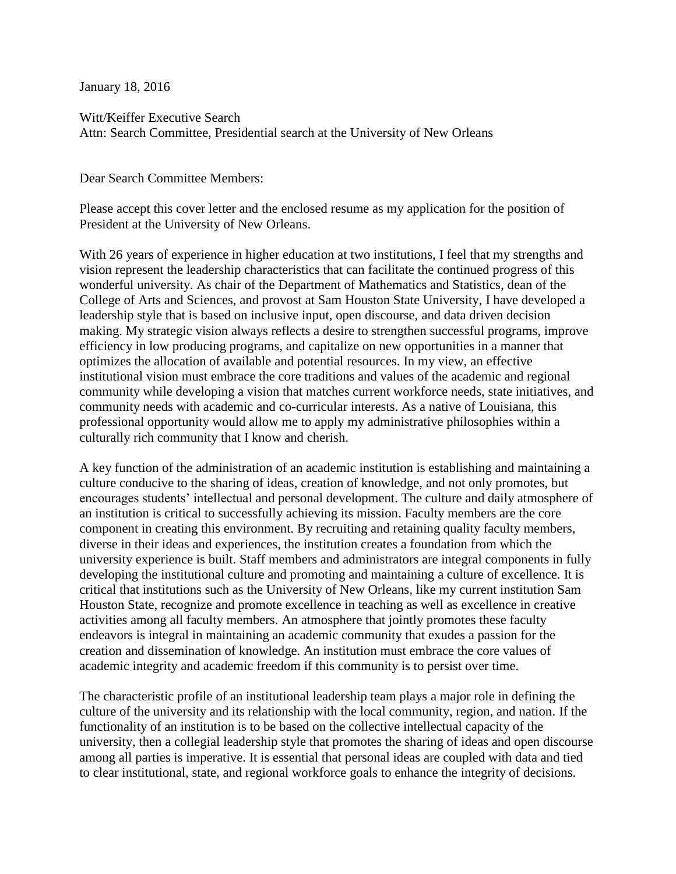January 18, 2016

Witt/Keiffer Executive Search Attn: Search Committee, Presidential search at the University of New Orleans

Dear Search Committee Members:

Please accept this cover letter and the enclosed resume as my application for the position of President at the University of New Orleans.

With 26 years of experience in higher education at two institutions, I feel that my strengths and vision represent the leadership characteristics that can facilitate the continued progress of this wonderful university. As chair of the Department of Mathematics and Statistics, dean of the College of Arts and Sciences, and provost at Sam Houston State University, I have developed a leadership style that is based on inclusive input, open discourse, and data driven decision making. My strategic vision always reflects a desire to strengthen successful programs, improve efficiency in low producing programs, and capitalize on new opportunities in a manner that optimizes the allocation of available and potential resources. In my view, an effective institutional vision must embrace the core traditions and values of the academic and regional community while developing a vision that matches current workforce needs, state initiatives, and community needs with academic and co-curricular interests. As a native of Louisiana, this professional opportunity would allow me to apply my administrative philosophies within a culturally rich community that I know and cherish.

A key function of the administration of an academic institution is establishing and maintaining a culture conducive to the sharing of ideas, creation of knowledge, and not only promotes, but encourages students' intellectual and personal development. The culture and daily atmosphere of an institution is critical to successfully achieving its mission. Faculty members are the core component in creating this environment. By recruiting and retaining quality faculty members, diverse in their ideas and experiences, the institution creates a foundation from which the university experience is built. Staff members and administrators are integral components in fully developing the institutional culture and promoting and maintaining a culture of excellence. It is critical that institutions such as the University of New Orleans, like my current institution Sam Houston State, recognize and promote excellence in teaching as well as excellence in creative activities among all faculty members. An atmosphere that jointly promotes these faculty endeavors is integral in maintaining an academic community that exudes a passion for the creation and dissemination of knowledge. An institution must embrace the core values of academic integrity and academic freedom if this community is to persist over time.

The characteristic profile of an institutional leadership team plays a major role in defining the culture of the university and its relationship with the local community, region, and nation. If the functionality of an institution is to be based on the collective intellectual capacity of the university, then a collegial leadership style that promotes the sharing of ideas and open discourse among all parties is imperative. It is essential that personal ideas are coupled with data and tied to clear institutional, state, and regional workforce goals to enhance the integrity of decisions.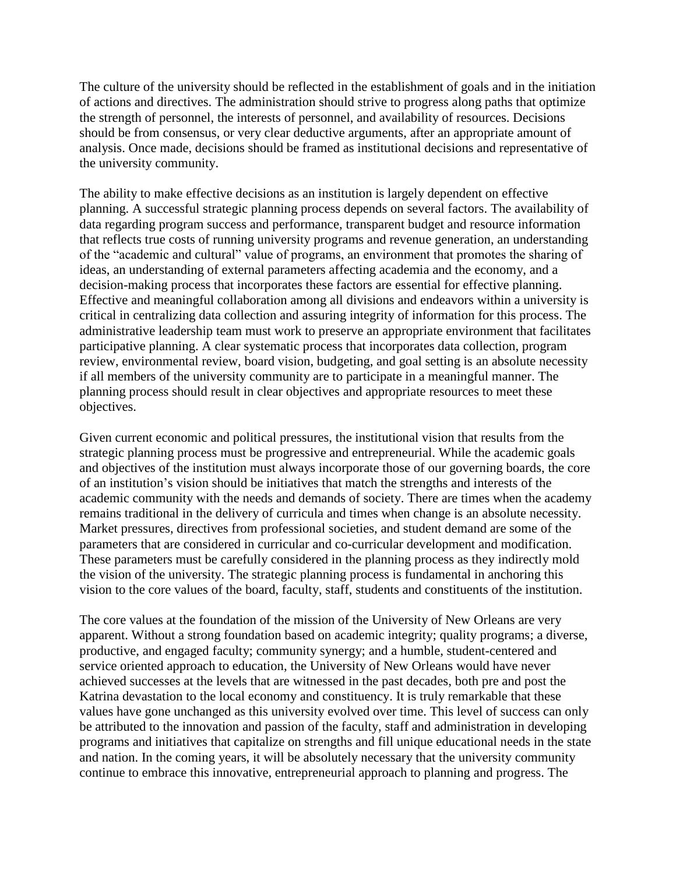The culture of the university should be reflected in the establishment of goals and in the initiation of actions and directives. The administration should strive to progress along paths that optimize the strength of personnel, the interests of personnel, and availability of resources. Decisions should be from consensus, or very clear deductive arguments, after an appropriate amount of analysis. Once made, decisions should be framed as institutional decisions and representative of the university community.

The ability to make effective decisions as an institution is largely dependent on effective planning. A successful strategic planning process depends on several factors. The availability of data regarding program success and performance, transparent budget and resource information that reflects true costs of running university programs and revenue generation, an understanding of the "academic and cultural" value of programs, an environment that promotes the sharing of ideas, an understanding of external parameters affecting academia and the economy, and a decision-making process that incorporates these factors are essential for effective planning. Effective and meaningful collaboration among all divisions and endeavors within a university is critical in centralizing data collection and assuring integrity of information for this process. The administrative leadership team must work to preserve an appropriate environment that facilitates participative planning. A clear systematic process that incorporates data collection, program review, environmental review, board vision, budgeting, and goal setting is an absolute necessity if all members of the university community are to participate in a meaningful manner. The planning process should result in clear objectives and appropriate resources to meet these objectives.

Given current economic and political pressures, the institutional vision that results from the strategic planning process must be progressive and entrepreneurial. While the academic goals and objectives of the institution must always incorporate those of our governing boards, the core of an institution's vision should be initiatives that match the strengths and interests of the academic community with the needs and demands of society. There are times when the academy remains traditional in the delivery of curricula and times when change is an absolute necessity. Market pressures, directives from professional societies, and student demand are some of the parameters that are considered in curricular and co-curricular development and modification. These parameters must be carefully considered in the planning process as they indirectly mold the vision of the university. The strategic planning process is fundamental in anchoring this vision to the core values of the board, faculty, staff, students and constituents of the institution.

The core values at the foundation of the mission of the University of New Orleans are very apparent. Without a strong foundation based on academic integrity; quality programs; a diverse, productive, and engaged faculty; community synergy; and a humble, student-centered and service oriented approach to education, the University of New Orleans would have never achieved successes at the levels that are witnessed in the past decades, both pre and post the Katrina devastation to the local economy and constituency. It is truly remarkable that these values have gone unchanged as this university evolved over time. This level of success can only be attributed to the innovation and passion of the faculty, staff and administration in developing programs and initiatives that capitalize on strengths and fill unique educational needs in the state and nation. In the coming years, it will be absolutely necessary that the university community continue to embrace this innovative, entrepreneurial approach to planning and progress. The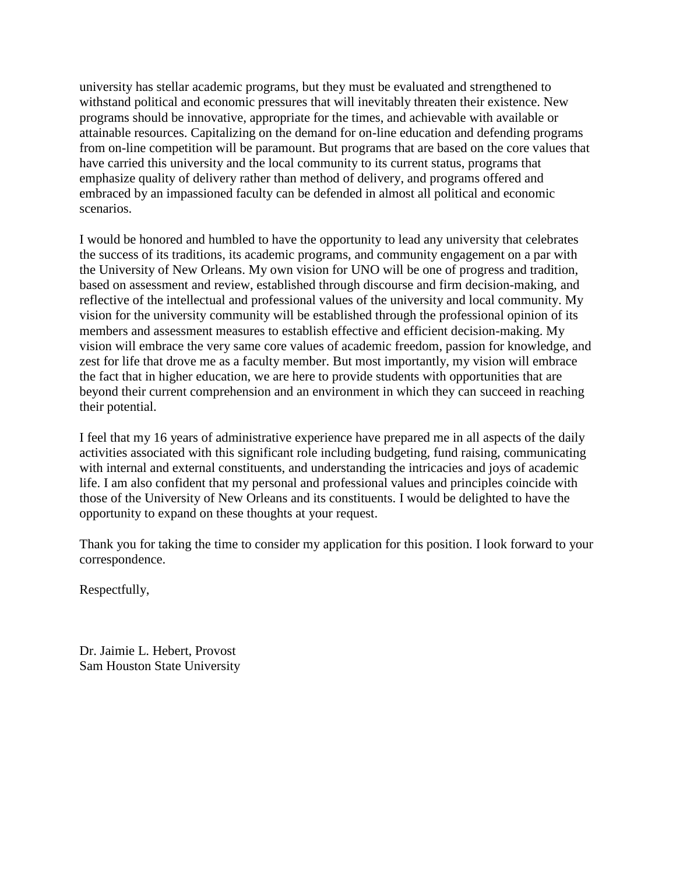university has stellar academic programs, but they must be evaluated and strengthened to withstand political and economic pressures that will inevitably threaten their existence. New programs should be innovative, appropriate for the times, and achievable with available or attainable resources. Capitalizing on the demand for on-line education and defending programs from on-line competition will be paramount. But programs that are based on the core values that have carried this university and the local community to its current status, programs that emphasize quality of delivery rather than method of delivery, and programs offered and embraced by an impassioned faculty can be defended in almost all political and economic scenarios.

I would be honored and humbled to have the opportunity to lead any university that celebrates the success of its traditions, its academic programs, and community engagement on a par with the University of New Orleans. My own vision for UNO will be one of progress and tradition, based on assessment and review, established through discourse and firm decision-making, and reflective of the intellectual and professional values of the university and local community. My vision for the university community will be established through the professional opinion of its members and assessment measures to establish effective and efficient decision-making. My vision will embrace the very same core values of academic freedom, passion for knowledge, and zest for life that drove me as a faculty member. But most importantly, my vision will embrace the fact that in higher education, we are here to provide students with opportunities that are beyond their current comprehension and an environment in which they can succeed in reaching their potential.

I feel that my 16 years of administrative experience have prepared me in all aspects of the daily activities associated with this significant role including budgeting, fund raising, communicating with internal and external constituents, and understanding the intricacies and joys of academic life. I am also confident that my personal and professional values and principles coincide with those of the University of New Orleans and its constituents. I would be delighted to have the opportunity to expand on these thoughts at your request.

Thank you for taking the time to consider my application for this position. I look forward to your correspondence.

Respectfully,

Dr. Jaimie L. Hebert, Provost Sam Houston State University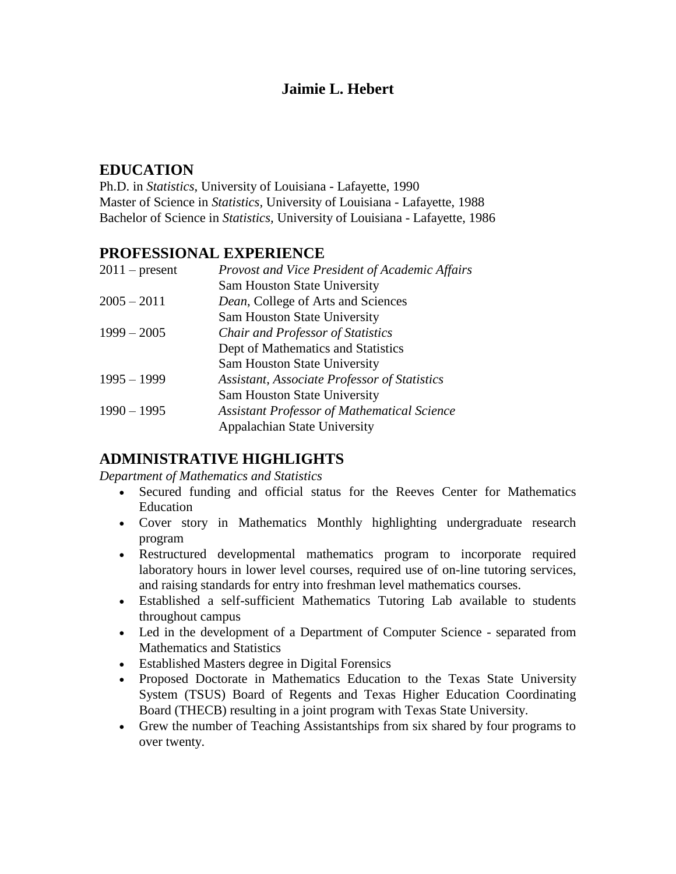# **Jaimie L. Hebert**

# **EDUCATION**

Ph.D. in *Statistics*, University of Louisiana - Lafayette, 1990 Master of Science in *Statistics,* University of Louisiana - Lafayette, 1988 Bachelor of Science in *Statistics,* University of Louisiana - Lafayette, 1986

# **PROFESSIONAL EXPERIENCE**

| Provost and Vice President of Academic Affairs      |
|-----------------------------------------------------|
| <b>Sam Houston State University</b>                 |
| Dean, College of Arts and Sciences                  |
| <b>Sam Houston State University</b>                 |
| <b>Chair and Professor of Statistics</b>            |
| Dept of Mathematics and Statistics                  |
| <b>Sam Houston State University</b>                 |
| <b>Assistant, Associate Professor of Statistics</b> |
| <b>Sam Houston State University</b>                 |
| <b>Assistant Professor of Mathematical Science</b>  |
| <b>Appalachian State University</b>                 |
|                                                     |

# **ADMINISTRATIVE HIGHLIGHTS**

*Department of Mathematics and Statistics*

- Secured funding and official status for the Reeves Center for Mathematics Education
- Cover story in Mathematics Monthly highlighting undergraduate research program
- Restructured developmental mathematics program to incorporate required laboratory hours in lower level courses, required use of on-line tutoring services, and raising standards for entry into freshman level mathematics courses.
- Established a self-sufficient Mathematics Tutoring Lab available to students throughout campus
- Led in the development of a Department of Computer Science separated from Mathematics and Statistics
- Established Masters degree in Digital Forensics
- Proposed Doctorate in Mathematics Education to the Texas State University System (TSUS) Board of Regents and Texas Higher Education Coordinating Board (THECB) resulting in a joint program with Texas State University.
- Grew the number of Teaching Assistantships from six shared by four programs to over twenty.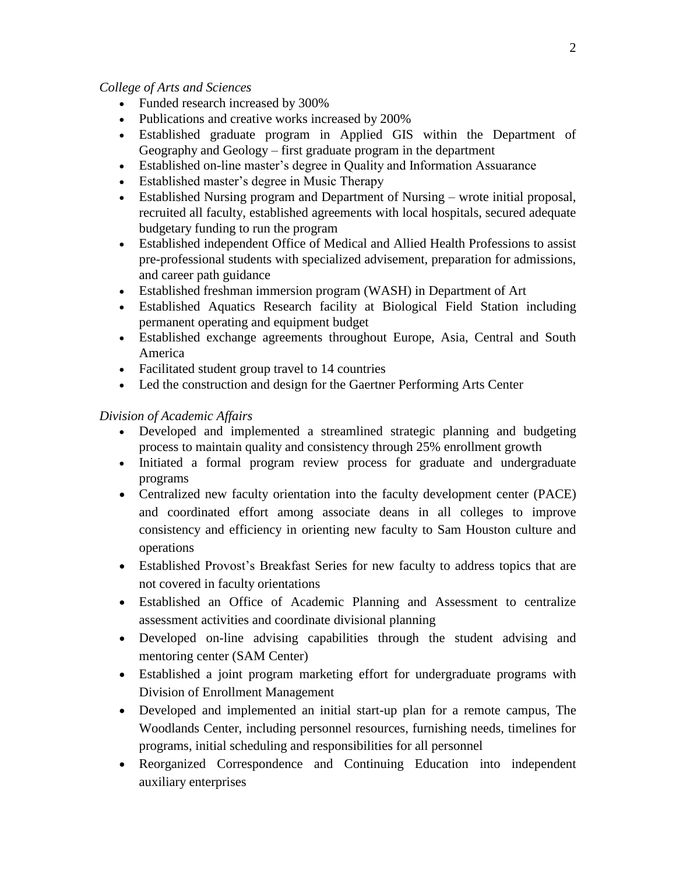### *College of Arts and Sciences*

- Funded research increased by 300%
- Publications and creative works increased by 200%
- Established graduate program in Applied GIS within the Department of Geography and Geology – first graduate program in the department
- Established on-line master's degree in Quality and Information Assuarance
- Established master's degree in Music Therapy
- Established Nursing program and Department of Nursing wrote initial proposal, recruited all faculty, established agreements with local hospitals, secured adequate budgetary funding to run the program
- Established independent Office of Medical and Allied Health Professions to assist pre-professional students with specialized advisement, preparation for admissions, and career path guidance
- Established freshman immersion program (WASH) in Department of Art
- Established Aquatics Research facility at Biological Field Station including permanent operating and equipment budget
- Established exchange agreements throughout Europe, Asia, Central and South America
- Facilitated student group travel to 14 countries
- Led the construction and design for the Gaertner Performing Arts Center

### *Division of Academic Affairs*

- Developed and implemented a streamlined strategic planning and budgeting process to maintain quality and consistency through 25% enrollment growth
- Initiated a formal program review process for graduate and undergraduate programs
- Centralized new faculty orientation into the faculty development center (PACE) and coordinated effort among associate deans in all colleges to improve consistency and efficiency in orienting new faculty to Sam Houston culture and operations
- Established Provost's Breakfast Series for new faculty to address topics that are not covered in faculty orientations
- Established an Office of Academic Planning and Assessment to centralize assessment activities and coordinate divisional planning
- Developed on-line advising capabilities through the student advising and mentoring center (SAM Center)
- Established a joint program marketing effort for undergraduate programs with Division of Enrollment Management
- Developed and implemented an initial start-up plan for a remote campus, The Woodlands Center, including personnel resources, furnishing needs, timelines for programs, initial scheduling and responsibilities for all personnel
- Reorganized Correspondence and Continuing Education into independent auxiliary enterprises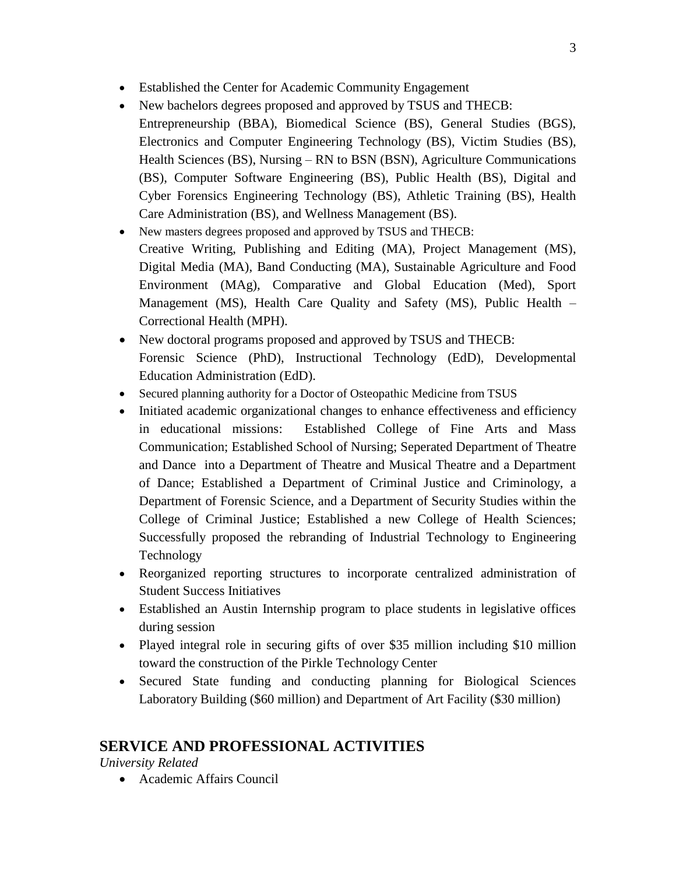- Established the Center for Academic Community Engagement
- New bachelors degrees proposed and approved by TSUS and THECB: Entrepreneurship (BBA), Biomedical Science (BS), General Studies (BGS), Electronics and Computer Engineering Technology (BS), Victim Studies (BS), Health Sciences (BS), Nursing – RN to BSN (BSN), Agriculture Communications (BS), Computer Software Engineering (BS), Public Health (BS), Digital and Cyber Forensics Engineering Technology (BS), Athletic Training (BS), Health Care Administration (BS), and Wellness Management (BS).
- New masters degrees proposed and approved by TSUS and THECB: Creative Writing, Publishing and Editing (MA), Project Management (MS), Digital Media (MA), Band Conducting (MA), Sustainable Agriculture and Food Environment (MAg), Comparative and Global Education (Med), Sport Management (MS), Health Care Quality and Safety (MS), Public Health – Correctional Health (MPH).
- New doctoral programs proposed and approved by TSUS and THECB: Forensic Science (PhD), Instructional Technology (EdD), Developmental Education Administration (EdD).
- Secured planning authority for a Doctor of Osteopathic Medicine from TSUS
- Initiated academic organizational changes to enhance effectiveness and efficiency in educational missions: Established College of Fine Arts and Mass Communication; Established School of Nursing; Seperated Department of Theatre and Dance into a Department of Theatre and Musical Theatre and a Department of Dance; Established a Department of Criminal Justice and Criminology, a Department of Forensic Science, and a Department of Security Studies within the College of Criminal Justice; Established a new College of Health Sciences; Successfully proposed the rebranding of Industrial Technology to Engineering Technology
- Reorganized reporting structures to incorporate centralized administration of Student Success Initiatives
- Established an Austin Internship program to place students in legislative offices during session
- Played integral role in securing gifts of over \$35 million including \$10 million toward the construction of the Pirkle Technology Center
- Secured State funding and conducting planning for Biological Sciences Laboratory Building (\$60 million) and Department of Art Facility (\$30 million)

# **SERVICE AND PROFESSIONAL ACTIVITIES**

*University Related* 

Academic Affairs Council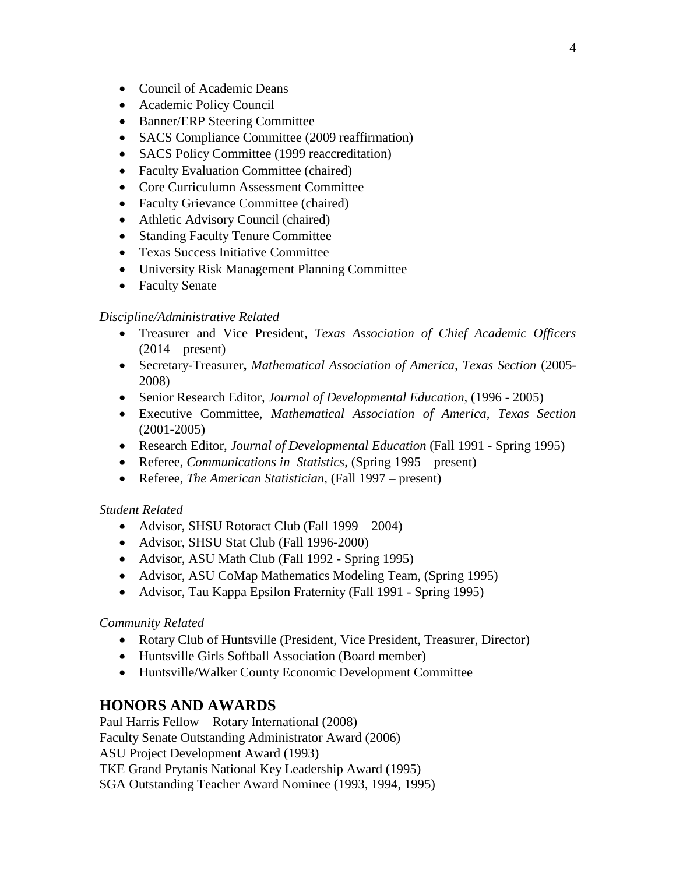- Council of Academic Deans
- Academic Policy Council
- Banner/ERP Steering Committee
- SACS Compliance Committee (2009 reaffirmation)
- SACS Policy Committee (1999 reaccreditation)
- Faculty Evaluation Committee (chaired)
- Core Curriculumn Assessment Committee
- Faculty Grievance Committee (chaired)
- Athletic Advisory Council (chaired)
- Standing Faculty Tenure Committee
- Texas Success Initiative Committee
- University Risk Management Planning Committee
- Faculty Senate

#### *Discipline/Administrative Related*

- Treasurer and Vice President, *Texas Association of Chief Academic Officers*   $(2014 - \text{present})$
- Secretary-Treasurer**,** *Mathematical Association of America, Texas Section* (2005- 2008)
- Senior Research Editor, *Journal of Developmental Education*, (1996 2005)
- Executive Committee, *Mathematical Association of America, Texas Section* (2001-2005)
- Research Editor, *Journal of Developmental Education* (Fall 1991 Spring 1995)
- Referee, *Communications in Statistics*, (Spring 1995 present)
- Referee, *The American Statistician*, (Fall 1997 present)

#### *Student Related*

- Advisor, SHSU Rotoract Club (Fall 1999 2004)
- Advisor, SHSU Stat Club (Fall 1996-2000)
- Advisor, ASU Math Club (Fall 1992 Spring 1995)
- Advisor, ASU CoMap Mathematics Modeling Team, (Spring 1995)
- Advisor, Tau Kappa Epsilon Fraternity (Fall 1991 Spring 1995)

#### *Community Related*

- Rotary Club of Huntsville (President, Vice President, Treasurer, Director)
- Huntsville Girls Softball Association (Board member)
- Huntsville/Walker County Economic Development Committee

### **HONORS AND AWARDS**

Paul Harris Fellow – Rotary International (2008) Faculty Senate Outstanding Administrator Award (2006) ASU Project Development Award (1993) TKE Grand Prytanis National Key Leadership Award (1995) SGA Outstanding Teacher Award Nominee (1993, 1994, 1995)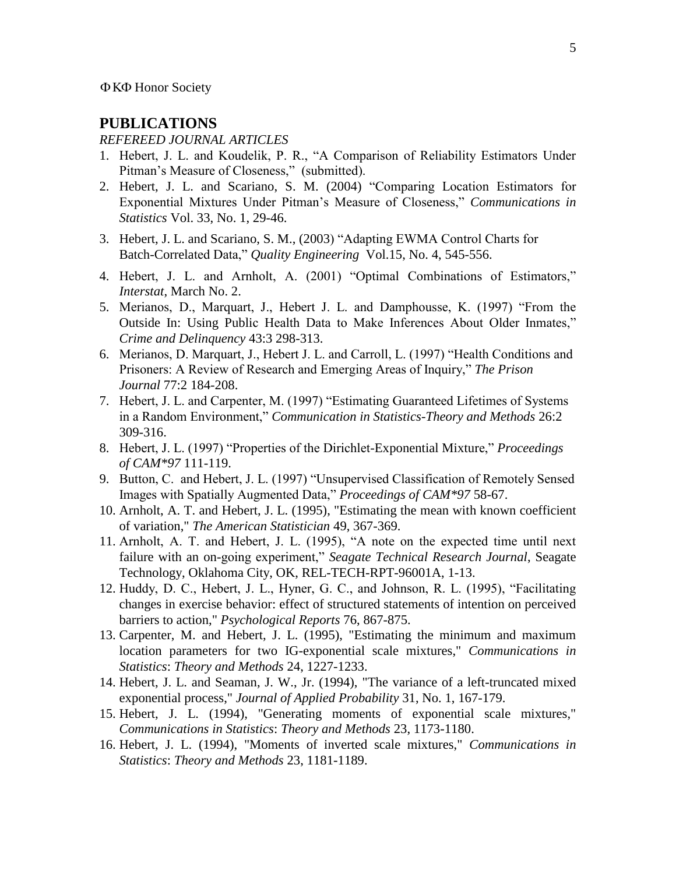## **PUBLICATIONS**

### *REFEREED JOURNAL ARTICLES*

- 1. Hebert, J. L. and Koudelik, P. R., "A Comparison of Reliability Estimators Under Pitman's Measure of Closeness," (submitted).
- 2. Hebert, J. L. and Scariano, S. M. (2004) "Comparing Location Estimators for Exponential Mixtures Under Pitman's Measure of Closeness," *Communications in Statistics* Vol. 33, No. 1, 29-46.
- 3. Hebert, J. L. and Scariano, S. M., (2003) "Adapting EWMA Control Charts for Batch-Correlated Data," *Quality Engineering* Vol.15, No. 4, 545-556.
- 4. Hebert, J. L. and Arnholt, A. (2001) "Optimal Combinations of Estimators," *Interstat*, March No. 2.
- 5. Merianos, D., Marquart, J., Hebert J. L. and Damphousse, K. (1997) "From the Outside In: Using Public Health Data to Make Inferences About Older Inmates," *Crime and Delinquency* 43:3 298-313.
- 6. Merianos, D. Marquart, J., Hebert J. L. and Carroll, L. (1997) "Health Conditions and Prisoners: A Review of Research and Emerging Areas of Inquiry," *The Prison Journal* 77:2 184-208.
- 7. Hebert, J. L. and Carpenter, M. (1997) "Estimating Guaranteed Lifetimes of Systems in a Random Environment," *Communication in Statistics-Theory and Methods* 26:2 309-316.
- 8. Hebert, J. L. (1997) "Properties of the Dirichlet-Exponential Mixture," *Proceedings of CAM\*97* 111-119.
- 9. Button, C. and Hebert, J. L. (1997) "Unsupervised Classification of Remotely Sensed Images with Spatially Augmented Data," *Proceedings of CAM\*97* 58-67.
- 10. Arnholt, A. T. and Hebert, J. L. (1995), "Estimating the mean with known coefficient of variation," *The American Statistician* 49, 367-369.
- 11. Arnholt, A. T. and Hebert, J. L. (1995), "A note on the expected time until next failure with an on-going experiment," *Seagate Technical Research Journal*, Seagate Technology, Oklahoma City, OK, REL-TECH-RPT-96001A, 1-13.
- 12. Huddy, D. C., Hebert, J. L., Hyner, G. C., and Johnson, R. L. (1995), "Facilitating changes in exercise behavior: effect of structured statements of intention on perceived barriers to action," *Psychological Reports* 76, 867-875.
- 13. Carpenter, M. and Hebert, J. L. (1995), "Estimating the minimum and maximum location parameters for two IG-exponential scale mixtures," *Communications in Statistics*: *Theory and Methods* 24, 1227-1233.
- 14. Hebert, J. L. and Seaman, J. W., Jr. (1994), "The variance of a left-truncated mixed exponential process," *Journal of Applied Probability* 31, No. 1, 167-179.
- 15. Hebert, J. L. (1994), "Generating moments of exponential scale mixtures," *Communications in Statistics*: *Theory and Methods* 23, 1173-1180.
- 16. Hebert, J. L. (1994), "Moments of inverted scale mixtures," *Communications in Statistics*: *Theory and Methods* 23, 1181-1189.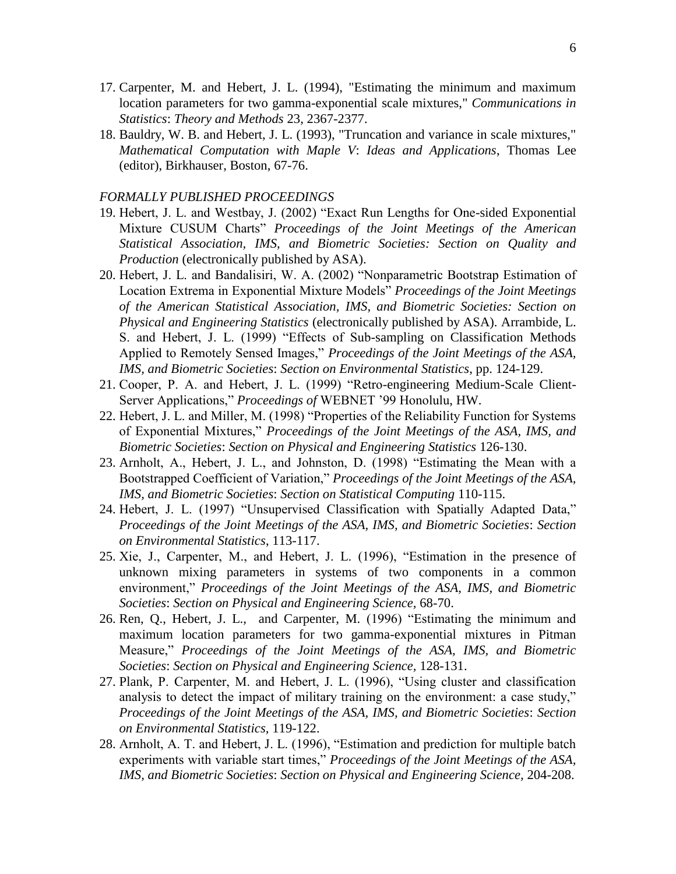- 17. Carpenter, M. and Hebert, J. L. (1994), "Estimating the minimum and maximum location parameters for two gamma-exponential scale mixtures," *Communications in Statistics*: *Theory and Methods* 23, 2367-2377.
- 18. Bauldry, W. B. and Hebert, J. L. (1993), "Truncation and variance in scale mixtures," *Mathematical Computation with Maple V*: *Ideas and Applications*, Thomas Lee (editor), Birkhauser, Boston, 67-76.

#### *FORMALLY PUBLISHED PROCEEDINGS*

- 19. Hebert, J. L. and Westbay, J. (2002) "Exact Run Lengths for One-sided Exponential Mixture CUSUM Charts" *Proceedings of the Joint Meetings of the American Statistical Association, IMS, and Biometric Societies: Section on Quality and Production* (electronically published by ASA).
- 20. Hebert, J. L. and Bandalisiri, W. A. (2002) "Nonparametric Bootstrap Estimation of Location Extrema in Exponential Mixture Models" *Proceedings of the Joint Meetings of the American Statistical Association, IMS, and Biometric Societies: Section on Physical and Engineering Statistics* (electronically published by ASA). Arrambide, L. S. and Hebert, J. L. (1999) "Effects of Sub-sampling on Classification Methods Applied to Remotely Sensed Images," *Proceedings of the Joint Meetings of the ASA, IMS, and Biometric Societies*: *Section on Environmental Statistics*, pp. 124-129.
- 21. Cooper, P. A. and Hebert, J. L. (1999) "Retro-engineering Medium-Scale Client-Server Applications," *Proceedings of* WEBNET '99 Honolulu, HW.
- 22. Hebert, J. L. and Miller, M. (1998) "Properties of the Reliability Function for Systems of Exponential Mixtures," *Proceedings of the Joint Meetings of the ASA, IMS, and Biometric Societies*: *Section on Physical and Engineering Statistics* 126-130.
- 23. Arnholt, A., Hebert, J. L., and Johnston, D. (1998) "Estimating the Mean with a Bootstrapped Coefficient of Variation," *Proceedings of the Joint Meetings of the ASA, IMS, and Biometric Societies*: *Section on Statistical Computing* 110-115.
- 24. Hebert, J. L. (1997) "Unsupervised Classification with Spatially Adapted Data," *Proceedings of the Joint Meetings of the ASA, IMS, and Biometric Societies*: *Section on Environmental Statistics*, 113-117.
- 25. Xie, J., Carpenter, M., and Hebert, J. L. (1996), "Estimation in the presence of unknown mixing parameters in systems of two components in a common environment," *Proceedings of the Joint Meetings of the ASA, IMS, and Biometric Societies*: *Section on Physical and Engineering Science,* 68-70.
- 26. Ren, Q., Hebert, J. L., and Carpenter, M. (1996) "Estimating the minimum and maximum location parameters for two gamma-exponential mixtures in Pitman Measure," *Proceedings of the Joint Meetings of the ASA, IMS, and Biometric Societies*: *Section on Physical and Engineering Science,* 128-131.
- 27. Plank, P. Carpenter, M. and Hebert, J. L. (1996), "Using cluster and classification analysis to detect the impact of military training on the environment: a case study," *Proceedings of the Joint Meetings of the ASA, IMS, and Biometric Societies*: *Section on Environmental Statistics,* 119-122.
- 28. Arnholt, A. T. and Hebert, J. L. (1996), "Estimation and prediction for multiple batch experiments with variable start times," *Proceedings of the Joint Meetings of the ASA, IMS, and Biometric Societies*: *Section on Physical and Engineering Science,* 204-208.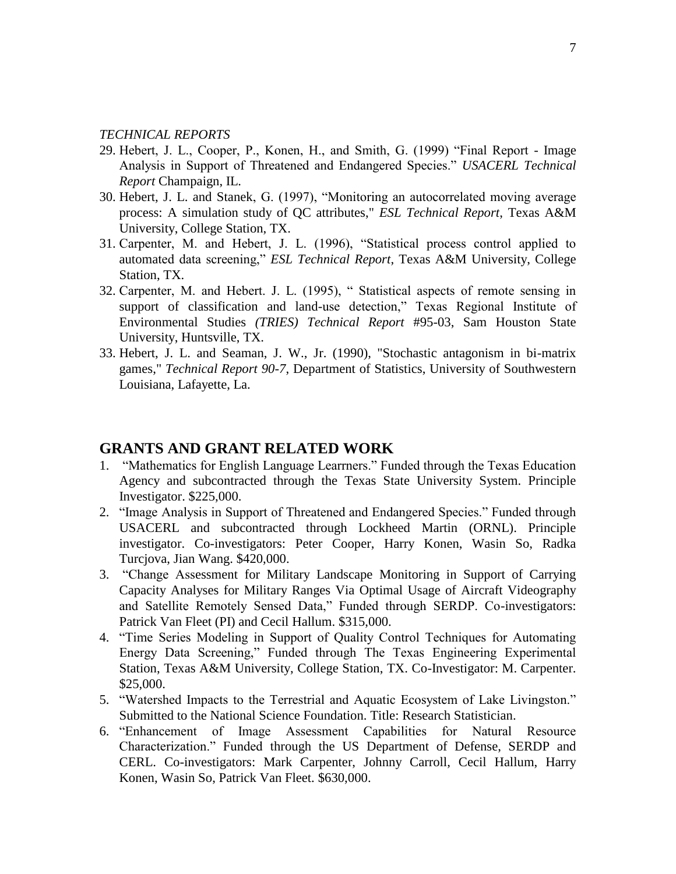#### *TECHNICAL REPORTS*

- 29. Hebert, J. L., Cooper, P., Konen, H., and Smith, G. (1999) "Final Report Image Analysis in Support of Threatened and Endangered Species." *USACERL Technical Report* Champaign, IL.
- 30. Hebert, J. L. and Stanek, G. (1997), "Monitoring an autocorrelated moving average process: A simulation study of QC attributes," *ESL Technical Report*, Texas A&M University, College Station, TX.
- 31. Carpenter, M. and Hebert, J. L. (1996), "Statistical process control applied to automated data screening," *ESL Technical Report*, Texas A&M University, College Station, TX.
- 32. Carpenter, M. and Hebert. J. L. (1995), " Statistical aspects of remote sensing in support of classification and land-use detection," Texas Regional Institute of Environmental Studies *(TRIES) Technical Report* #95-03, Sam Houston State University, Huntsville, TX.
- 33. Hebert, J. L. and Seaman, J. W., Jr. (1990), "Stochastic antagonism in bi-matrix games," *Technical Report 90-7*, Department of Statistics, University of Southwestern Louisiana, Lafayette, La.

### **GRANTS AND GRANT RELATED WORK**

- 1. "Mathematics for English Language Learrners." Funded through the Texas Education Agency and subcontracted through the Texas State University System. Principle Investigator. \$225,000.
- 2. "Image Analysis in Support of Threatened and Endangered Species." Funded through USACERL and subcontracted through Lockheed Martin (ORNL). Principle investigator. Co-investigators: Peter Cooper, Harry Konen, Wasin So, Radka Turcjova, Jian Wang. \$420,000.
- 3. "Change Assessment for Military Landscape Monitoring in Support of Carrying Capacity Analyses for Military Ranges Via Optimal Usage of Aircraft Videography and Satellite Remotely Sensed Data," Funded through SERDP. Co-investigators: Patrick Van Fleet (PI) and Cecil Hallum. \$315,000.
- 4. "Time Series Modeling in Support of Quality Control Techniques for Automating Energy Data Screening," Funded through The Texas Engineering Experimental Station, Texas A&M University, College Station, TX. Co-Investigator: M. Carpenter. \$25,000.
- 5. "Watershed Impacts to the Terrestrial and Aquatic Ecosystem of Lake Livingston." Submitted to the National Science Foundation. Title: Research Statistician.
- 6. "Enhancement of Image Assessment Capabilities for Natural Resource Characterization." Funded through the US Department of Defense, SERDP and CERL. Co-investigators: Mark Carpenter, Johnny Carroll, Cecil Hallum, Harry Konen, Wasin So, Patrick Van Fleet. \$630,000.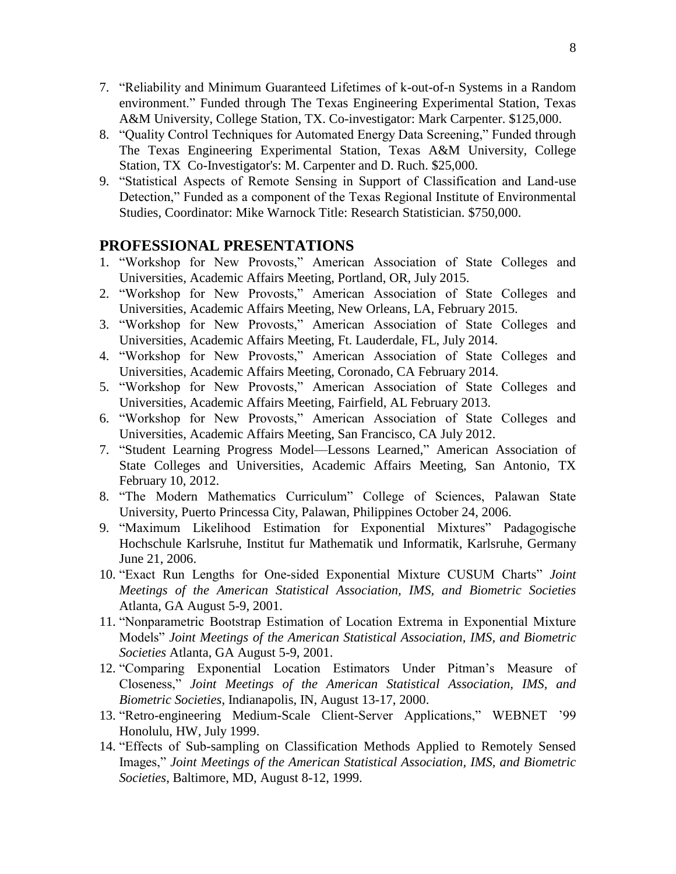- 7. "Reliability and Minimum Guaranteed Lifetimes of k-out-of-n Systems in a Random environment." Funded through The Texas Engineering Experimental Station, Texas A&M University, College Station, TX. Co-investigator: Mark Carpenter. \$125,000.
- 8. "Quality Control Techniques for Automated Energy Data Screening," Funded through The Texas Engineering Experimental Station, Texas A&M University, College Station, TX Co-Investigator's: M. Carpenter and D. Ruch. \$25,000.
- 9. "Statistical Aspects of Remote Sensing in Support of Classification and Land-use Detection," Funded as a component of the Texas Regional Institute of Environmental Studies, Coordinator: Mike Warnock Title: Research Statistician. \$750,000.

### **PROFESSIONAL PRESENTATIONS**

- 1. "Workshop for New Provosts," American Association of State Colleges and Universities, Academic Affairs Meeting, Portland, OR, July 2015.
- 2. "Workshop for New Provosts," American Association of State Colleges and Universities, Academic Affairs Meeting, New Orleans, LA, February 2015.
- 3. "Workshop for New Provosts," American Association of State Colleges and Universities, Academic Affairs Meeting, Ft. Lauderdale, FL, July 2014.
- 4. "Workshop for New Provosts," American Association of State Colleges and Universities, Academic Affairs Meeting, Coronado, CA February 2014.
- 5. "Workshop for New Provosts," American Association of State Colleges and Universities, Academic Affairs Meeting, Fairfield, AL February 2013.
- 6. "Workshop for New Provosts," American Association of State Colleges and Universities, Academic Affairs Meeting, San Francisco, CA July 2012.
- 7. "Student Learning Progress Model—Lessons Learned," American Association of State Colleges and Universities, Academic Affairs Meeting, San Antonio, TX February 10, 2012.
- 8. "The Modern Mathematics Curriculum" College of Sciences, Palawan State University, Puerto Princessa City, Palawan, Philippines October 24, 2006.
- 9. "Maximum Likelihood Estimation for Exponential Mixtures" Padagogische Hochschule Karlsruhe, Institut fur Mathematik und Informatik, Karlsruhe, Germany June 21, 2006.
- 10. "Exact Run Lengths for One-sided Exponential Mixture CUSUM Charts" *Joint Meetings of the American Statistical Association, IMS, and Biometric Societies*  Atlanta, GA August 5-9, 2001.
- 11. "Nonparametric Bootstrap Estimation of Location Extrema in Exponential Mixture Models" *Joint Meetings of the American Statistical Association, IMS, and Biometric Societies* Atlanta, GA August 5-9, 2001.
- 12. "Comparing Exponential Location Estimators Under Pitman's Measure of Closeness," *Joint Meetings of the American Statistical Association, IMS, and Biometric Societies*, Indianapolis, IN, August 13-17, 2000.
- 13. "Retro-engineering Medium-Scale Client-Server Applications," WEBNET '99 Honolulu, HW, July 1999.
- 14. "Effects of Sub-sampling on Classification Methods Applied to Remotely Sensed Images," *Joint Meetings of the American Statistical Association, IMS, and Biometric Societies*, Baltimore, MD, August 8-12, 1999.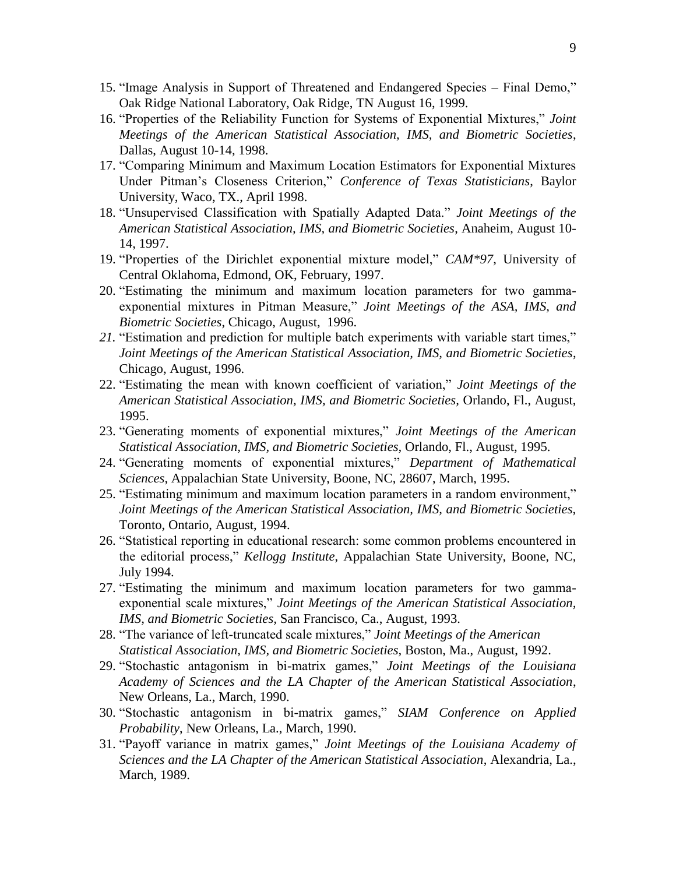- 15. "Image Analysis in Support of Threatened and Endangered Species Final Demo," Oak Ridge National Laboratory, Oak Ridge, TN August 16, 1999.
- 16. "Properties of the Reliability Function for Systems of Exponential Mixtures," *Joint Meetings of the American Statistical Association, IMS, and Biometric Societies*, Dallas, August 10-14, 1998.
- 17. "Comparing Minimum and Maximum Location Estimators for Exponential Mixtures Under Pitman's Closeness Criterion," *Conference of Texas Statisticians*, Baylor University, Waco, TX., April 1998.
- 18. "Unsupervised Classification with Spatially Adapted Data." *Joint Meetings of the American Statistical Association, IMS, and Biometric Societies*, Anaheim, August 10- 14, 1997.
- 19. "Properties of the Dirichlet exponential mixture model," *CAM\*97*, University of Central Oklahoma, Edmond, OK, February, 1997.
- 20. "Estimating the minimum and maximum location parameters for two gammaexponential mixtures in Pitman Measure," *Joint Meetings of the ASA, IMS, and Biometric Societies*, Chicago, August, 1996.
- *21.* "Estimation and prediction for multiple batch experiments with variable start times," *Joint Meetings of the American Statistical Association, IMS, and Biometric Societies*, Chicago, August, 1996.
- 22. "Estimating the mean with known coefficient of variation," *Joint Meetings of the American Statistical Association, IMS, and Biometric Societies,* Orlando, Fl., August, 1995.
- 23. "Generating moments of exponential mixtures," *Joint Meetings of the American Statistical Association, IMS, and Biometric Societies,* Orlando, Fl., August, 1995.
- 24. "Generating moments of exponential mixtures," *Department of Mathematical Sciences*, Appalachian State University, Boone, NC, 28607, March, 1995.
- 25. "Estimating minimum and maximum location parameters in a random environment," *Joint Meetings of the American Statistical Association, IMS, and Biometric Societies,*  Toronto, Ontario, August, 1994.
- 26. "Statistical reporting in educational research: some common problems encountered in the editorial process," *Kellogg Institute*, Appalachian State University, Boone, NC, July 1994.
- 27. "Estimating the minimum and maximum location parameters for two gammaexponential scale mixtures," *Joint Meetings of the American Statistical Association, IMS, and Biometric Societies,* San Francisco, Ca., August, 1993.
- 28. "The variance of left-truncated scale mixtures," *Joint Meetings of the American Statistical Association, IMS, and Biometric Societies,* Boston, Ma., August, 1992.
- 29. "Stochastic antagonism in bi-matrix games," *Joint Meetings of the Louisiana Academy of Sciences and the LA Chapter of the American Statistical Association*, New Orleans, La., March, 1990.
- 30. "Stochastic antagonism in bi-matrix games," *SIAM Conference on Applied Probability*, New Orleans, La., March, 1990.
- 31. "Payoff variance in matrix games," *Joint Meetings of the Louisiana Academy of Sciences and the LA Chapter of the American Statistical Association*, Alexandria, La., March, 1989.